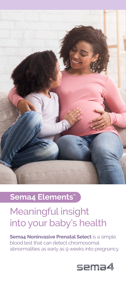

## **Sema4 Elements**

# Meaningful insight into your baby's health

**Sema4 Noninvasive Prenatal Select** is a simple blood test that can detect chromosomal abnormalities as early as 9 weeks into pregnancy.

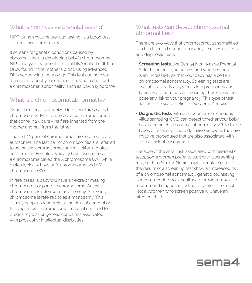## What is noninvasive prenatal testing?

NIPT (or noninvasive prenatal testing) is a blood test offered during pregnancy.

It screens for genetic conditions caused by abnormalities in a developing baby's chromosomes. NIPT analyzes fragments of fetal DNA (called cell-free DNA) found in the mother's blood using advanced DNA sequencing technology. This test can help you learn more about your chance of having a child with a chromosomal abnormality, such as Down syndrome.

## What is a chromosomal abnormality?

Genetic material is organized into structures called chromosomes. Most babies have 46 chromosomes that come in 23 pairs – half are inherited from the mother and half from the father.

The first 22 pairs of chromosomes are referred to as autosomes. The last pair of chromosomes are referred to as the sex chromosomes and will differ in males and females. Females typically have two copies of a chromosome called the X chromosome (XX), while males typically have an X chromosome and a Y chromosome (XY).

In rare cases, a baby will have an extra or missing chromosome or part of a chromosome. An extra chromosome is referred to as a trisomy. A missing chromosome is referred to as a monosomy. This usually happens randomly at the time of conception. Missing or extra chromosomal material can lead to pregnancy loss or genetic conditions associated with physical or intellectual disabilities.

### What tests can detect chromosomal abnormalities?

There are two ways that chromosomal abnormalities can be detected during pregnancy – screening tests and diagnostic tests.

- **Screening tests,** like Sema4 Noninvasive Prenatal Select, can help you understand whether there is an increased risk that your baby has a certain chromosomal abnormality. Screening tests are available as early as 9 weeks into pregnancy and typically are noninvasive, meaning they should not pose any risk to your pregnancy. This type of test will not give you a definitive 'yes' or 'no' answer
- **Diagnostic tests** with amniocentesis or chorionic villus sampling (CVS) can detect whether your baby has a certain chromosomal abnormality. While these types of tests offer more definitive answers, they are invasive procedures that are also associated with a small risk of miscarriage

Because of the small risk associated with diagnostic tests, some women prefer to start with a screening test, such as Sema4 Noninvasive Prenatal Select. If the results of a screening test show an increased risk of a chromosomal abnormality, genetic counseling is recommended. Your healthcare provider may also recommend diagnostic testing to confirm the result. Not all women who screen positive will have an affected child.

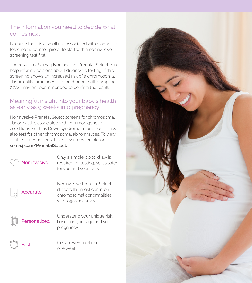## The information you need to decide what comes next

Because there is a small risk associated with diagnostic tests, some women prefer to start with a noninvasive screening test first.

The results of Sema4 Noninvasive Prenatal Select can help inform decisions about diagnostic testing. If this screening shows an increased risk of a chromosomal abnormality, amniocentesis or chorionic villi sampling (CVS) may be recommended to confirm the result.

## Meaningful insight into your baby's health as early as 9 weeks into pregnancy

Noninvasive Prenatal Select screens for chromosomal abnormalities associated with common genetic conditions, such as Down syndrome. In addition, it may also test for other chromosomal abnormalities. To view a full list of conditions this test screens for, please visit **sema4.com/PrenatalSelect.**

## **Noninvasive**

Only a simple blood draw is required for testing, so it's safer for you and your baby

## Accurate

Noninvasive Prenatal Select detects the most common chromosomal abnormalities with >99% accuracy



Understand your unique risk, based on your age and your pregnancy

Fast

Get answers in about one week

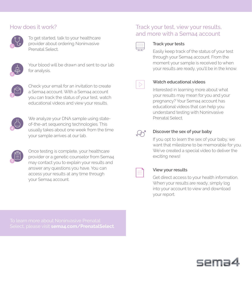### How does it work?



To get started, talk to your healthcare provider about ordering Noninvasive Prenatal Select.



Your blood will be drawn and sent to our lab for analysis.



Check your email for an invitation to create a Sema4 account. With a Sema4 account you can track the status of your test, watch educational videos and view your results.



We analyze your DNA sample using stateof-the-art sequencing technologies. This usually takes about one week from the time your sample arrives at our lab.



Once testing is complete, your healthcare provider or a genetic counselor from Sema4 may contact you to explain your results and answer any questions you have. You can access your results at any time through your Sema4 account.

### Track your test, view your results, and more with a Sema4 account



#### **Track your tests**

Easily keep track of the status of your test through your Sema4 account. From the moment your sample is received to when your results are ready, you'll be in the know.



### **Watch educational videos**

Interested in learning more about what your results may mean for you and your pregnancy? Your Sema4 account has educational videos that can help you understand testing with Noninvasive Prenatal Select.



#### **Discover the sex of your baby**

If you opt to learn the sex of your baby, we want that milestone to be memorable for you. We've created a special video to deliver the exciting news!

#### **View your results**

Get direct access to your health information. When your results are ready, simply log into your account to view and download your report.

Select, please visit **sema4.com/PrenatalSelect**.